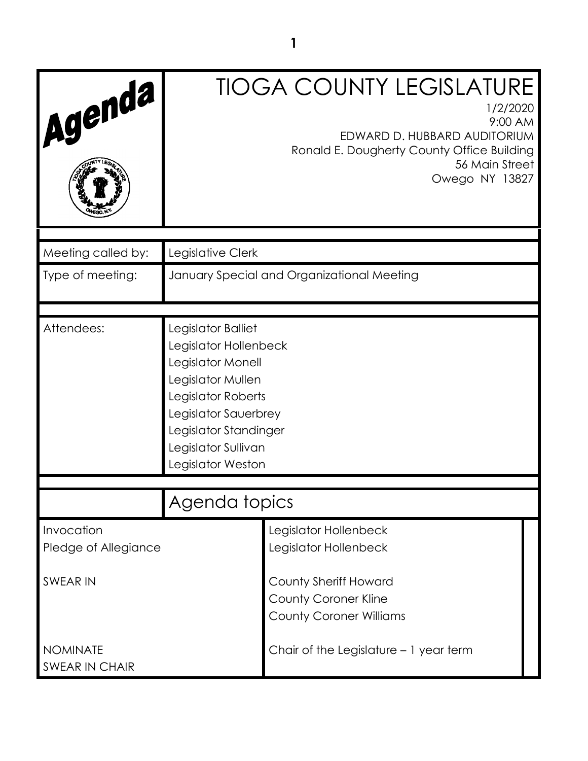| Agenda                             |                                                                                                                                                                                                          | <b>TIOGA COUNTY LEGISLATURE</b><br>1/2/2020<br>9:00 AM<br>EDWARD D. HUBBARD AUDITORIUM<br>Ronald E. Dougherty County Office Building<br>56 Main Street<br>Owego NY 13827 |  |
|------------------------------------|----------------------------------------------------------------------------------------------------------------------------------------------------------------------------------------------------------|--------------------------------------------------------------------------------------------------------------------------------------------------------------------------|--|
| Meeting called by:                 | Legislative Clerk                                                                                                                                                                                        |                                                                                                                                                                          |  |
| Type of meeting:                   |                                                                                                                                                                                                          | January Special and Organizational Meeting                                                                                                                               |  |
| Attendees:                         | Legislator Balliet<br>Legislator Hollenbeck<br>Legislator Monell<br>Legislator Mullen<br>Legislator Roberts<br>Legislator Sauerbrey<br>Legislator Standinger<br>Legislator Sullivan<br>Legislator Weston |                                                                                                                                                                          |  |
|                                    | Agenda topics                                                                                                                                                                                            |                                                                                                                                                                          |  |
| Invocation<br>Pledge of Allegiance |                                                                                                                                                                                                          | Legislator Hollenbeck<br>Legislator Hollenbeck                                                                                                                           |  |
| SWEAR IN                           |                                                                                                                                                                                                          | <b>County Sheriff Howard</b><br><b>County Coroner Kline</b><br><b>County Coroner Williams</b>                                                                            |  |
| <b>NOMINATE</b><br>SWEAR IN CHAIR  |                                                                                                                                                                                                          | Chair of the Legislature - 1 year term                                                                                                                                   |  |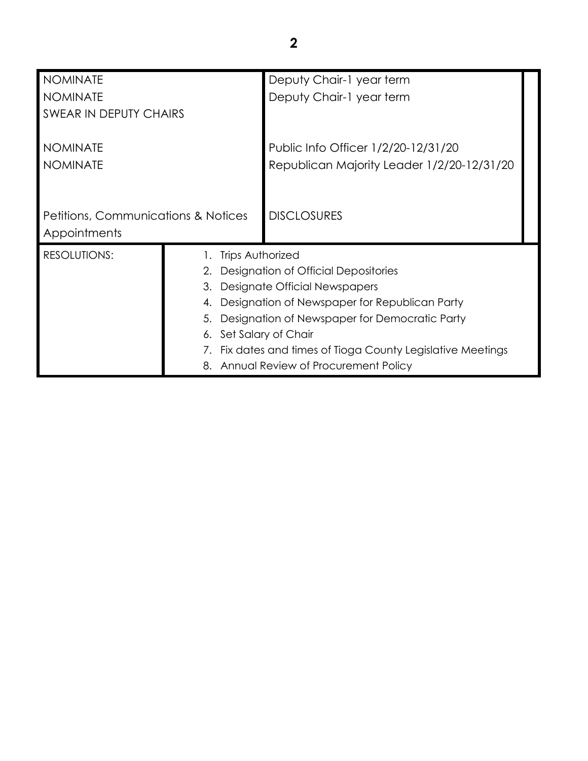| <b>NOMINATE</b>                                |                         | Deputy Chair-1 year term                                    |  |
|------------------------------------------------|-------------------------|-------------------------------------------------------------|--|
| <b>NOMINATE</b>                                |                         | Deputy Chair-1 year term                                    |  |
| SWEAR IN DEPUTY CHAIRS                         |                         |                                                             |  |
|                                                |                         |                                                             |  |
| <b>NOMINATE</b>                                |                         | Public Info Officer 1/2/20-12/31/20                         |  |
| <b>NOMINATE</b>                                |                         | Republican Majority Leader 1/2/20-12/31/20                  |  |
|                                                |                         |                                                             |  |
|                                                |                         |                                                             |  |
| <b>Petitions, Communications &amp; Notices</b> |                         | <b>DISCLOSURES</b>                                          |  |
| Appointments                                   |                         |                                                             |  |
| <b>RESOLUTIONS:</b>                            | <b>Trips Authorized</b> |                                                             |  |
|                                                |                         | Designation of Official Depositories                        |  |
|                                                | 3.                      | Designate Official Newspapers                               |  |
|                                                | 4.                      | Designation of Newspaper for Republican Party               |  |
|                                                | 5.                      | Designation of Newspaper for Democratic Party               |  |
|                                                |                         | 6. Set Salary of Chair                                      |  |
|                                                |                         | 7. Fix dates and times of Tioga County Legislative Meetings |  |
|                                                |                         | 8. Annual Review of Procurement Policy                      |  |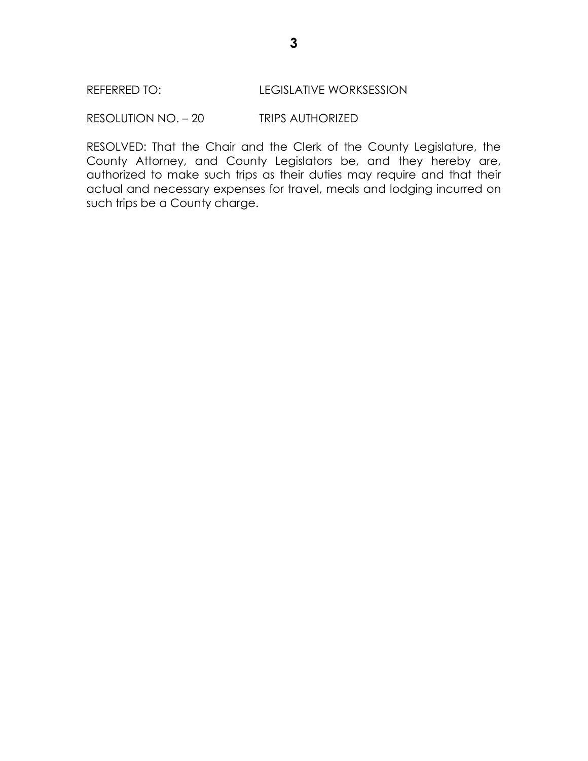### REFERRED TO: LEGISLATIVE WORKSESSION

RESOLUTION NO. – 20 TRIPS AUTHORIZED

RESOLVED: That the Chair and the Clerk of the County Legislature, the County Attorney, and County Legislators be, and they hereby are, authorized to make such trips as their duties may require and that their actual and necessary expenses for travel, meals and lodging incurred on such trips be a County charge.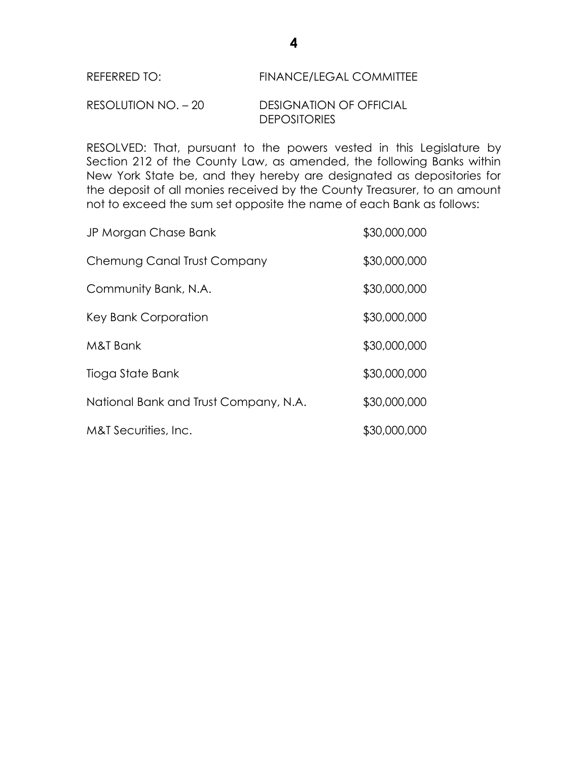# REFERRED TO: FINANCE/LEGAL COMMITTEE

### RESOLUTION NO. – 20 DESIGNATION OF OFFICIAL **DEPOSITORIES**

RESOLVED: That, pursuant to the powers vested in this Legislature by Section 212 of the County Law, as amended, the following Banks within New York State be, and they hereby are designated as depositories for the deposit of all monies received by the County Treasurer, to an amount not to exceed the sum set opposite the name of each Bank as follows:

| JP Morgan Chase Bank                  | \$30,000,000 |
|---------------------------------------|--------------|
| Chemung Canal Trust Company           | \$30,000,000 |
| Community Bank, N.A.                  | \$30,000,000 |
| Key Bank Corporation                  | \$30,000,000 |
| M&T Bank                              | \$30,000,000 |
| Tioga State Bank                      | \$30,000,000 |
| National Bank and Trust Company, N.A. | \$30,000,000 |
| M&T Securities, Inc.                  | \$30,000,000 |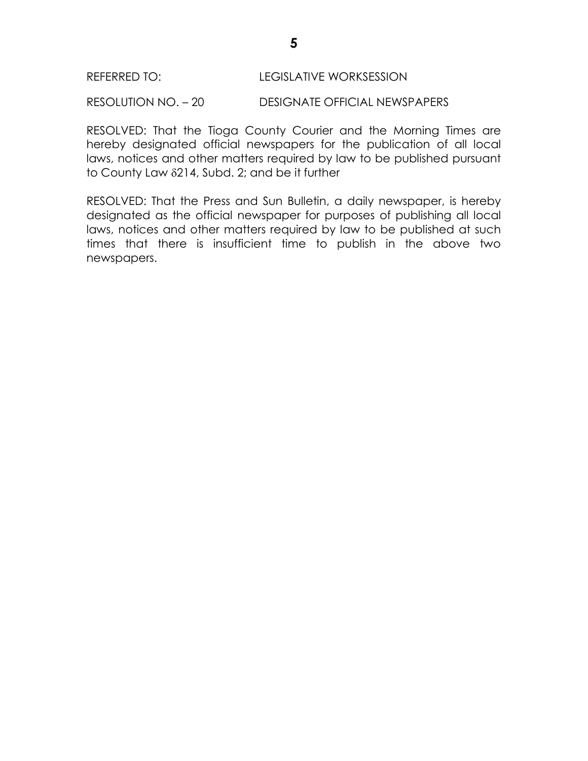#### REFERRED TO: LEGISLATIVE WORKSESSION

RESOLUTION NO. – 20 DESIGNATE OFFICIAL NEWSPAPERS

RESOLVED: That the Tioga County Courier and the Morning Times are hereby designated official newspapers for the publication of all local laws, notices and other matters required by law to be published pursuant to County Law  $\delta$ 214, Subd. 2; and be it further

RESOLVED: That the Press and Sun Bulletin, a daily newspaper, is hereby designated as the official newspaper for purposes of publishing all local laws, notices and other matters required by law to be published at such times that there is insufficient time to publish in the above two newspapers.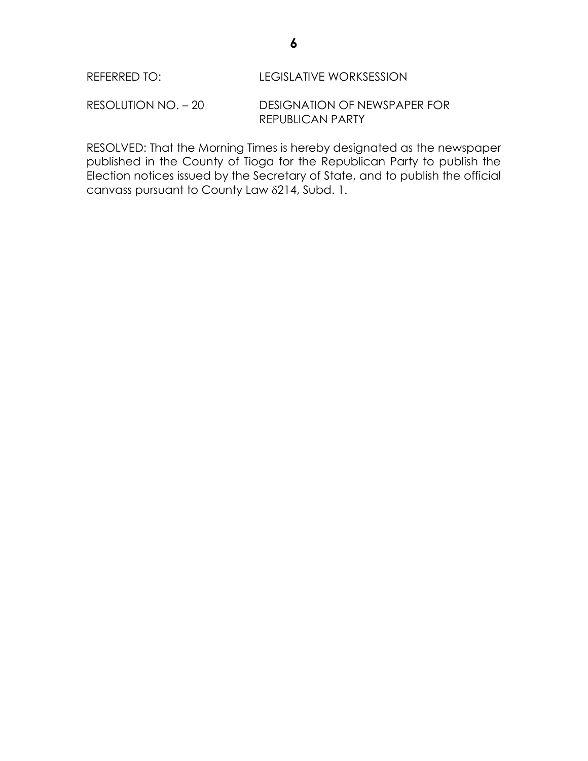RESOLUTION NO. – 20 DESIGNATION OF NEWSPAPER FOR REPUBLICAN PARTY

RESOLVED: That the Morning Times is hereby designated as the newspaper published in the County of Tioga for the Republican Party to publish the Election notices issued by the Secretary of State, and to publish the official canvass pursuant to County Law 214, Subd. 1.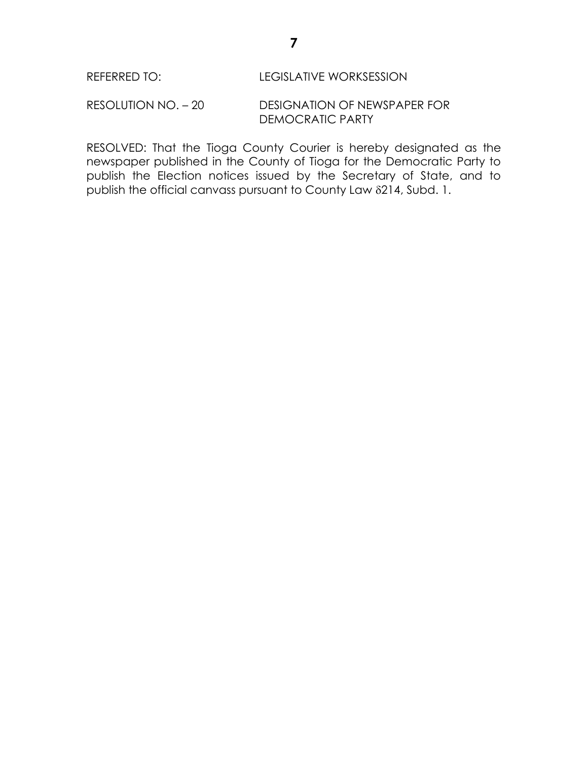RESOLUTION NO. – 20 DESIGNATION OF NEWSPAPER FOR DEMOCRATIC PARTY

RESOLVED: That the Tioga County Courier is hereby designated as the newspaper published in the County of Tioga for the Democratic Party to publish the Election notices issued by the Secretary of State, and to publish the official canvass pursuant to County Law 214, Subd. 1.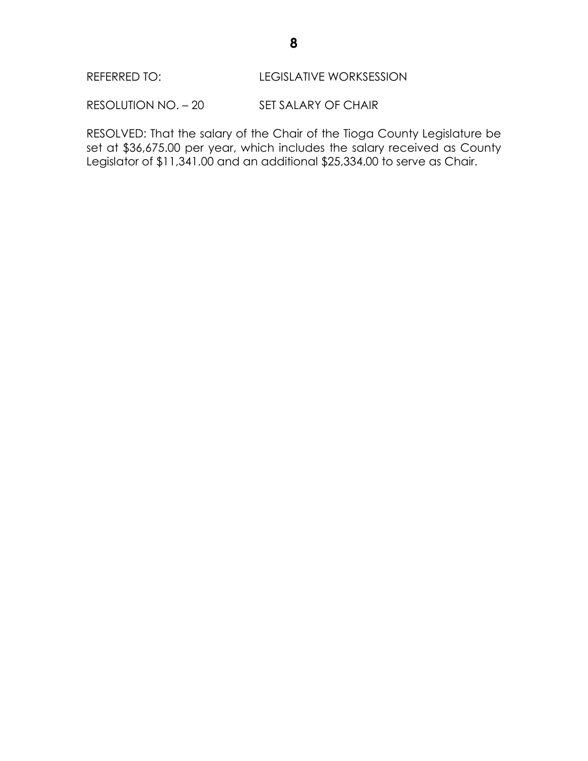RESOLUTION NO. - 20 SET SALARY OF CHAIR

RESOLVED: That the salary of the Chair of the Tioga County Legislature be set at \$36,675.00 per year, which includes the salary received as County Legislator of \$11,341.00 and an additional \$25,334.00 to serve as Chair.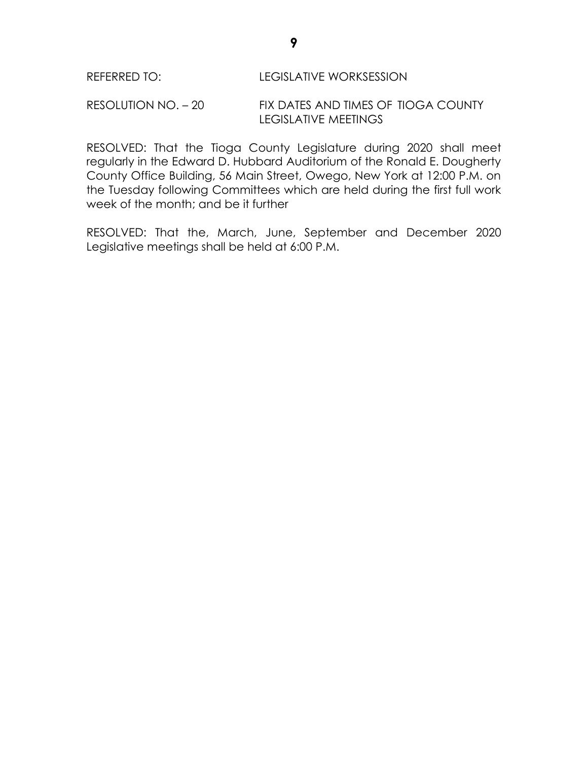### RESOLUTION NO. – 20 FIX DATES AND TIMES OF TIOGA COUNTY LEGISLATIVE MEETINGS

RESOLVED: That the Tioga County Legislature during 2020 shall meet regularly in the Edward D. Hubbard Auditorium of the Ronald E. Dougherty County Office Building, 56 Main Street, Owego, New York at 12:00 P.M. on the Tuesday following Committees which are held during the first full work week of the month; and be it further

RESOLVED: That the, March, June, September and December 2020 Legislative meetings shall be held at 6:00 P.M.